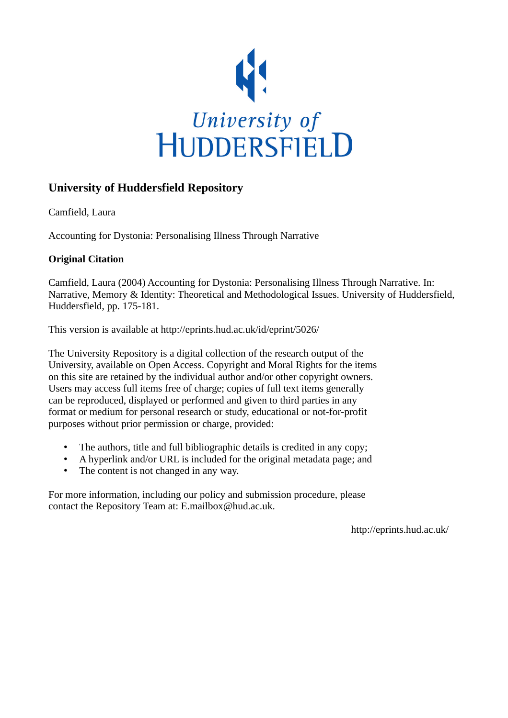

## **University of Huddersfield Repository**

Camfield, Laura

Accounting for Dystonia: Personalising Illness Through Narrative

### **Original Citation**

Camfield, Laura (2004) Accounting for Dystonia: Personalising Illness Through Narrative. In: Narrative, Memory & Identity: Theoretical and Methodological Issues. University of Huddersfield, Huddersfield, pp. 175-181.

This version is available at http://eprints.hud.ac.uk/id/eprint/5026/

The University Repository is a digital collection of the research output of the University, available on Open Access. Copyright and Moral Rights for the items on this site are retained by the individual author and/or other copyright owners. Users may access full items free of charge; copies of full text items generally can be reproduced, displayed or performed and given to third parties in any format or medium for personal research or study, educational or not-for-profit purposes without prior permission or charge, provided:

- The authors, title and full bibliographic details is credited in any copy;
- A hyperlink and/or URL is included for the original metadata page; and
- The content is not changed in any way.

For more information, including our policy and submission procedure, please contact the Repository Team at: E.mailbox@hud.ac.uk.

http://eprints.hud.ac.uk/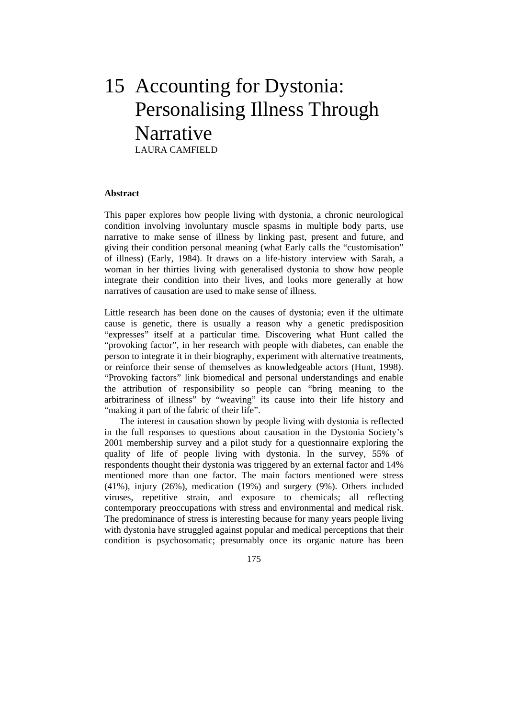# 15 Accounting for Dystonia: Personalising Illness Through Narrative LAURA CAMFIELD

#### **Abstract**

This paper explores how people living with dystonia, a chronic neurological condition involving involuntary muscle spasms in multiple body parts, use narrative to make sense of illness by linking past, present and future, and giving their condition personal meaning (what Early calls the "customisation" of illness) (Early, 1984). It draws on a life-history interview with Sarah, a woman in her thirties living with generalised dystonia to show how people integrate their condition into their lives, and looks more generally at how narratives of causation are used to make sense of illness.

Little research has been done on the causes of dystonia; even if the ultimate cause is genetic, there is usually a reason why a genetic predisposition "expresses" itself at a particular time. Discovering what Hunt called the "provoking factor", in her research with people with diabetes, can enable the person to integrate it in their biography, experiment with alternative treatments, or reinforce their sense of themselves as knowledgeable actors (Hunt, 1998). "Provoking factors" link biomedical and personal understandings and enable the attribution of responsibility so people can "bring meaning to the arbitrariness of illness" by "weaving" its cause into their life history and "making it part of the fabric of their life".

 The interest in causation shown by people living with dystonia is reflected in the full responses to questions about causation in the Dystonia Society's 2001 membership survey and a pilot study for a questionnaire exploring the quality of life of people living with dystonia. In the survey, 55% of respondents thought their dystonia was triggered by an external factor and 14% mentioned more than one factor. The main factors mentioned were stress (41%), injury (26%), medication (19%) and surgery (9%). Others included viruses, repetitive strain, and exposure to chemicals; all reflecting contemporary preoccupations with stress and environmental and medical risk. The predominance of stress is interesting because for many years people living with dystonia have struggled against popular and medical perceptions that their condition is psychosomatic; presumably once its organic nature has been

175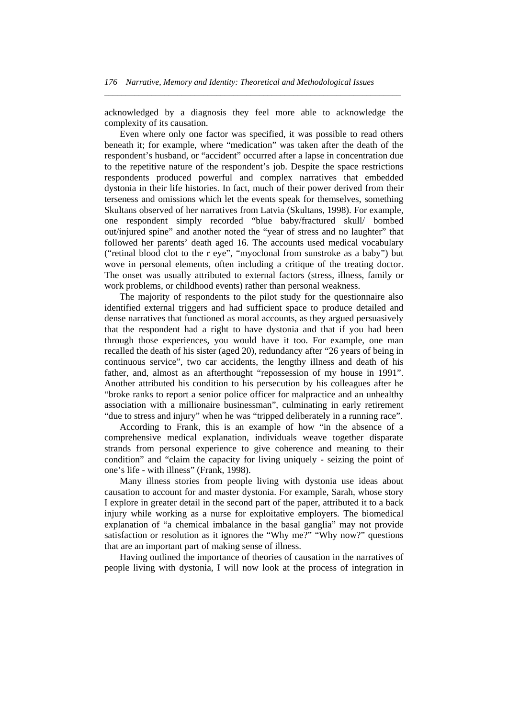acknowledged by a diagnosis they feel more able to acknowledge the complexity of its causation.

*\_\_\_\_\_\_\_\_\_\_\_\_\_\_\_\_\_\_\_\_\_\_\_\_\_\_\_\_\_\_\_\_\_\_\_\_\_\_\_\_\_\_\_\_\_\_\_\_\_\_\_\_\_\_\_\_\_\_\_\_\_\_\_\_\_\_\_\_\_* 

 Even where only one factor was specified, it was possible to read others beneath it; for example, where "medication" was taken after the death of the respondent's husband, or "accident" occurred after a lapse in concentration due to the repetitive nature of the respondent's job. Despite the space restrictions respondents produced powerful and complex narratives that embedded dystonia in their life histories. In fact, much of their power derived from their terseness and omissions which let the events speak for themselves, something Skultans observed of her narratives from Latvia (Skultans, 1998). For example, one respondent simply recorded "blue baby/fractured skull/ bombed out/injured spine" and another noted the "year of stress and no laughter" that followed her parents' death aged 16. The accounts used medical vocabulary ("retinal blood clot to the r eye", "myoclonal from sunstroke as a baby") but wove in personal elements, often including a critique of the treating doctor. The onset was usually attributed to external factors (stress, illness, family or work problems, or childhood events) rather than personal weakness.

 The majority of respondents to the pilot study for the questionnaire also identified external triggers and had sufficient space to produce detailed and dense narratives that functioned as moral accounts, as they argued persuasively that the respondent had a right to have dystonia and that if you had been through those experiences, you would have it too. For example, one man recalled the death of his sister (aged 20), redundancy after "26 years of being in continuous service", two car accidents, the lengthy illness and death of his father, and, almost as an afterthought "repossession of my house in 1991". Another attributed his condition to his persecution by his colleagues after he "broke ranks to report a senior police officer for malpractice and an unhealthy association with a millionaire businessman", culminating in early retirement "due to stress and injury" when he was "tripped deliberately in a running race".

 According to Frank, this is an example of how "in the absence of a comprehensive medical explanation, individuals weave together disparate strands from personal experience to give coherence and meaning to their condition" and "claim the capacity for living uniquely - seizing the point of one's life - with illness" (Frank, 1998).

 Many illness stories from people living with dystonia use ideas about causation to account for and master dystonia. For example, Sarah, whose story I explore in greater detail in the second part of the paper, attributed it to a back injury while working as a nurse for exploitative employers. The biomedical explanation of "a chemical imbalance in the basal ganglia" may not provide satisfaction or resolution as it ignores the "Why me?" "Why now?" questions that are an important part of making sense of illness.

 Having outlined the importance of theories of causation in the narratives of people living with dystonia, I will now look at the process of integration in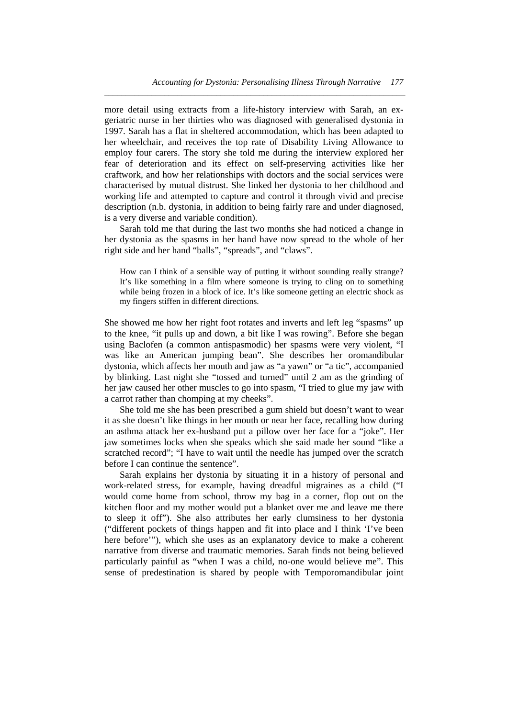more detail using extracts from a life-history interview with Sarah, an exgeriatric nurse in her thirties who was diagnosed with generalised dystonia in 1997. Sarah has a flat in sheltered accommodation, which has been adapted to her wheelchair, and receives the top rate of Disability Living Allowance to employ four carers. The story she told me during the interview explored her fear of deterioration and its effect on self-preserving activities like her craftwork, and how her relationships with doctors and the social services were characterised by mutual distrust. She linked her dystonia to her childhood and working life and attempted to capture and control it through vivid and precise description (n.b. dystonia, in addition to being fairly rare and under diagnosed, is a very diverse and variable condition).

*\_\_\_\_\_\_\_\_\_\_\_\_\_\_\_\_\_\_\_\_\_\_\_\_\_\_\_\_\_\_\_\_\_\_\_\_\_\_\_\_\_\_\_\_\_\_\_\_\_\_\_\_\_\_\_\_\_\_\_\_\_\_\_\_\_\_\_\_\_\_* 

 Sarah told me that during the last two months she had noticed a change in her dystonia as the spasms in her hand have now spread to the whole of her right side and her hand "balls", "spreads", and "claws".

How can I think of a sensible way of putting it without sounding really strange? It's like something in a film where someone is trying to cling on to something while being frozen in a block of ice. It's like someone getting an electric shock as my fingers stiffen in different directions.

She showed me how her right foot rotates and inverts and left leg "spasms" up to the knee, "it pulls up and down, a bit like I was rowing". Before she began using Baclofen (a common antispasmodic) her spasms were very violent, "I was like an American jumping bean". She describes her oromandibular dystonia, which affects her mouth and jaw as "a yawn" or "a tic", accompanied by blinking. Last night she "tossed and turned" until 2 am as the grinding of her jaw caused her other muscles to go into spasm, "I tried to glue my jaw with a carrot rather than chomping at my cheeks".

 She told me she has been prescribed a gum shield but doesn't want to wear it as she doesn't like things in her mouth or near her face, recalling how during an asthma attack her ex-husband put a pillow over her face for a "joke". Her jaw sometimes locks when she speaks which she said made her sound "like a scratched record"; "I have to wait until the needle has jumped over the scratch before I can continue the sentence".

 Sarah explains her dystonia by situating it in a history of personal and work-related stress, for example, having dreadful migraines as a child ("I would come home from school, throw my bag in a corner, flop out on the kitchen floor and my mother would put a blanket over me and leave me there to sleep it off"). She also attributes her early clumsiness to her dystonia ("different pockets of things happen and fit into place and I think 'I've been here before'"), which she uses as an explanatory device to make a coherent narrative from diverse and traumatic memories. Sarah finds not being believed particularly painful as "when I was a child, no-one would believe me". This sense of predestination is shared by people with Temporomandibular joint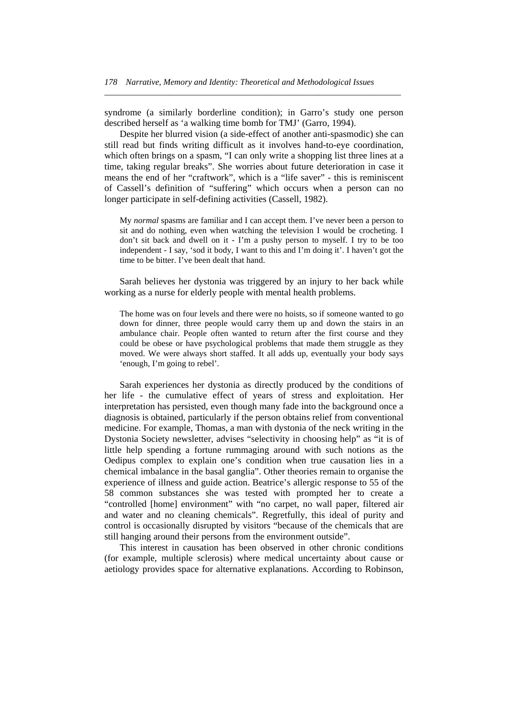syndrome (a similarly borderline condition); in Garro's study one person described herself as 'a walking time bomb for TMJ' (Garro, 1994).

*\_\_\_\_\_\_\_\_\_\_\_\_\_\_\_\_\_\_\_\_\_\_\_\_\_\_\_\_\_\_\_\_\_\_\_\_\_\_\_\_\_\_\_\_\_\_\_\_\_\_\_\_\_\_\_\_\_\_\_\_\_\_\_\_\_\_\_\_\_* 

 Despite her blurred vision (a side-effect of another anti-spasmodic) she can still read but finds writing difficult as it involves hand-to-eye coordination, which often brings on a spasm, "I can only write a shopping list three lines at a time, taking regular breaks". She worries about future deterioration in case it means the end of her "craftwork", which is a "life saver" - this is reminiscent of Cassell's definition of "suffering" which occurs when a person can no longer participate in self-defining activities (Cassell, 1982).

My *normal* spasms are familiar and I can accept them. I've never been a person to sit and do nothing, even when watching the television I would be crocheting. I don't sit back and dwell on it - I'm a pushy person to myself. I try to be too independent - I say, 'sod it body, I want to this and I'm doing it'. I haven't got the time to be bitter. I've been dealt that hand.

 Sarah believes her dystonia was triggered by an injury to her back while working as a nurse for elderly people with mental health problems.

The home was on four levels and there were no hoists, so if someone wanted to go down for dinner, three people would carry them up and down the stairs in an ambulance chair. People often wanted to return after the first course and they could be obese or have psychological problems that made them struggle as they moved. We were always short staffed. It all adds up, eventually your body says 'enough, I'm going to rebel'.

 Sarah experiences her dystonia as directly produced by the conditions of her life - the cumulative effect of years of stress and exploitation. Her interpretation has persisted, even though many fade into the background once a diagnosis is obtained, particularly if the person obtains relief from conventional medicine. For example, Thomas, a man with dystonia of the neck writing in the Dystonia Society newsletter, advises "selectivity in choosing help" as "it is of little help spending a fortune rummaging around with such notions as the Oedipus complex to explain one's condition when true causation lies in a chemical imbalance in the basal ganglia". Other theories remain to organise the experience of illness and guide action. Beatrice's allergic response to 55 of the 58 common substances she was tested with prompted her to create a "controlled [home] environment" with "no carpet, no wall paper, filtered air and water and no cleaning chemicals". Regretfully, this ideal of purity and control is occasionally disrupted by visitors "because of the chemicals that are still hanging around their persons from the environment outside".

 This interest in causation has been observed in other chronic conditions (for example, multiple sclerosis) where medical uncertainty about cause or aetiology provides space for alternative explanations. According to Robinson,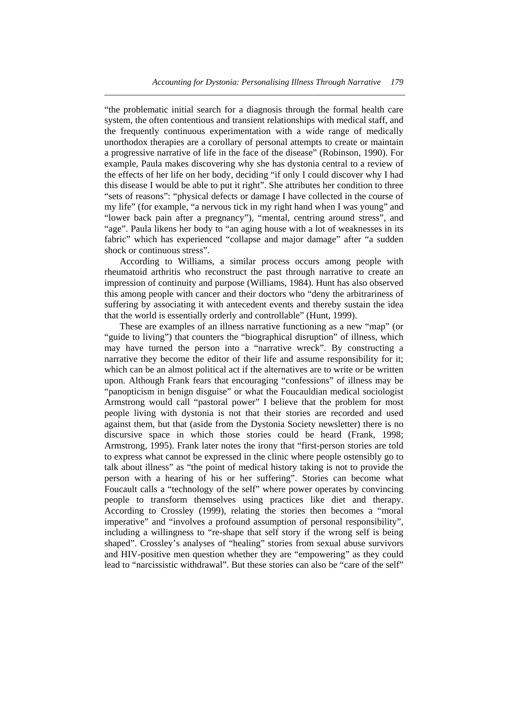"the problematic initial search for a diagnosis through the formal health care system, the often contentious and transient relationships with medical staff, and the frequently continuous experimentation with a wide range of medically unorthodox therapies are a corollary of personal attempts to create or maintain a progressive narrative of life in the face of the disease" (Robinson, 1990). For example, Paula makes discovering why she has dystonia central to a review of the effects of her life on her body, deciding "if only I could discover why I had this disease I would be able to put it right". She attributes her condition to three "sets of reasons": "physical defects or damage I have collected in the course of my life" (for example, "a nervous tick in my right hand when I was young" and "lower back pain after a pregnancy"), "mental, centring around stress", and "age". Paula likens her body to "an aging house with a lot of weaknesses in its fabric" which has experienced "collapse and major damage" after "a sudden shock or continuous stress".

*\_\_\_\_\_\_\_\_\_\_\_\_\_\_\_\_\_\_\_\_\_\_\_\_\_\_\_\_\_\_\_\_\_\_\_\_\_\_\_\_\_\_\_\_\_\_\_\_\_\_\_\_\_\_\_\_\_\_\_\_\_\_\_\_\_\_\_\_\_\_* 

 According to Williams, a similar process occurs among people with rheumatoid arthritis who reconstruct the past through narrative to create an impression of continuity and purpose (Williams, 1984). Hunt has also observed this among people with cancer and their doctors who "deny the arbitrariness of suffering by associating it with antecedent events and thereby sustain the idea that the world is essentially orderly and controllable" (Hunt, 1999).

 These are examples of an illness narrative functioning as a new "map" (or "guide to living") that counters the "biographical disruption" of illness, which may have turned the person into a "narrative wreck". By constructing a narrative they become the editor of their life and assume responsibility for it; which can be an almost political act if the alternatives are to write or be written upon. Although Frank fears that encouraging "confessions" of illness may be "panopticism in benign disguise" or what the Foucauldian medical sociologist Armstrong would call "pastoral power" I believe that the problem for most people living with dystonia is not that their stories are recorded and used against them, but that (aside from the Dystonia Society newsletter) there is no discursive space in which those stories could be heard (Frank, 1998; Armstrong, 1995). Frank later notes the irony that "first-person stories are told to express what cannot be expressed in the clinic where people ostensibly go to talk about illness" as "the point of medical history taking is not to provide the person with a hearing of his or her suffering". Stories can become what Foucault calls a "technology of the self" where power operates by convincing people to transform themselves using practices like diet and therapy. According to Crossley (1999), relating the stories then becomes a "moral imperative" and "involves a profound assumption of personal responsibility", including a willingness to "re-shape that self story if the wrong self is being shaped". Crossley's analyses of "healing" stories from sexual abuse survivors and HIV-positive men question whether they are "empowering" as they could lead to "narcissistic withdrawal". But these stories can also be "care of the self"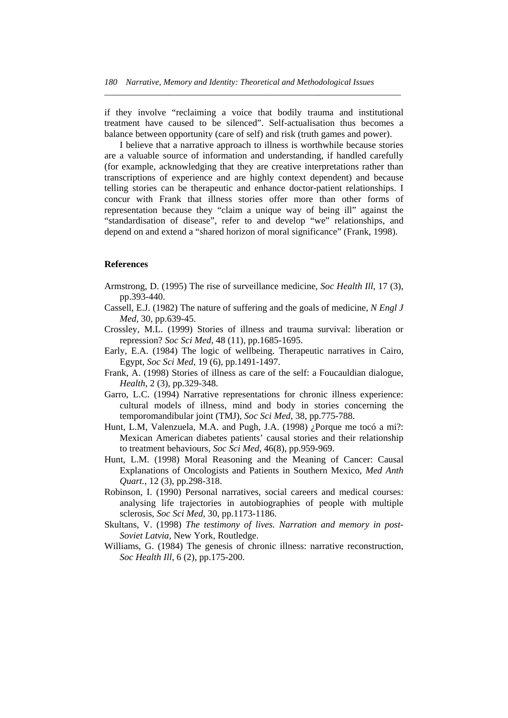if they involve "reclaiming a voice that bodily trauma and institutional treatment have caused to be silenced". Self-actualisation thus becomes a balance between opportunity (care of self) and risk (truth games and power).

*\_\_\_\_\_\_\_\_\_\_\_\_\_\_\_\_\_\_\_\_\_\_\_\_\_\_\_\_\_\_\_\_\_\_\_\_\_\_\_\_\_\_\_\_\_\_\_\_\_\_\_\_\_\_\_\_\_\_\_\_\_\_\_\_\_\_\_\_\_* 

 I believe that a narrative approach to illness is worthwhile because stories are a valuable source of information and understanding, if handled carefully (for example, acknowledging that they are creative interpretations rather than transcriptions of experience and are highly context dependent) and because telling stories can be therapeutic and enhance doctor-patient relationships. I concur with Frank that illness stories offer more than other forms of representation because they "claim a unique way of being ill" against the "standardisation of disease", refer to and develop "we" relationships, and depend on and extend a "shared horizon of moral significance" (Frank, 1998).

### **References**

- Armstrong, D. (1995) The rise of surveillance medicine, *Soc Health Ill*, 17 (3), pp.393-440.
- Cassell, E.J. (1982) The nature of suffering and the goals of medicine, *N Engl J Med*, 30, pp.639-45.
- Crossley, M.L. (1999) Stories of illness and trauma survival: liberation or repression? *Soc Sci Med*, 48 (11), pp.1685-1695.
- Early, E.A. (1984) The logic of wellbeing. Therapeutic narratives in Cairo, Egypt, *Soc Sci Med*, 19 (6), pp.1491-1497.
- Frank, A. (1998) Stories of illness as care of the self: a Foucauldian dialogue, *Health*, 2 (3), pp.329-348.
- Garro, L.C. (1994) Narrative representations for chronic illness experience: cultural models of illness, mind and body in stories concerning the temporomandibular joint (TMJ), *Soc Sci Med*, 38, pp.775-788.
- Hunt, L.M, Valenzuela, M.A. and Pugh, J.A. (1998) ¿Porque me tocó a mi?: Mexican American diabetes patients' causal stories and their relationship to treatment behaviours, *Soc Sci Med*, 46(8), pp.959-969.
- Hunt, L.M. (1998) Moral Reasoning and the Meaning of Cancer: Causal Explanations of Oncologists and Patients in Southern Mexico, *Med Anth Quart.*, 12 (3), pp.298-318.
- Robinson, I. (1990) Personal narratives, social careers and medical courses: analysing life trajectories in autobiographies of people with multiple sclerosis, *Soc Sci Med*, 30, pp.1173-1186.
- Skultans, V. (1998) *The testimony of lives. Narration and memory in post-Soviet Latvia*, New York, Routledge.
- Williams, G. (1984) The genesis of chronic illness: narrative reconstruction, *Soc Health Ill*, 6 (2), pp.175-200.